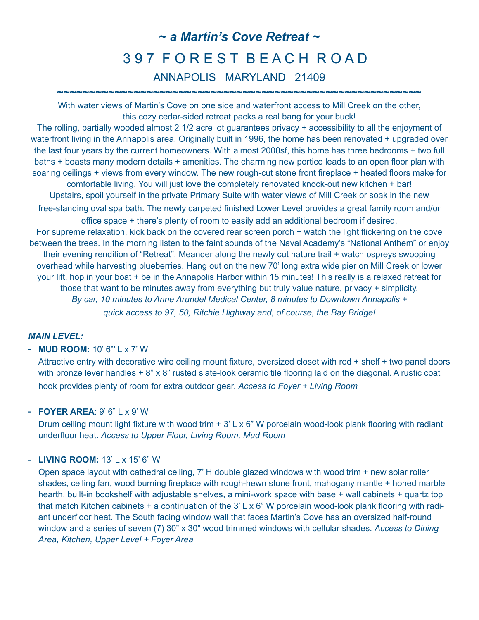# **~** *a Martin's Cove Retreat ~* 3 9 7 F O R E S T B E A C H R O A D ANNAPOLIS MARYLAND 21409

With water views of Martin's Cove on one side and waterfront access to Mill Creek on the other, this cozy cedar-sided retreat packs a real bang for your buck!

**~~~~~~~~~~~~~~~~~~~~~~~~~~~~~~~~~~~~~~~~~~~~~~~~~~~~~~~~~**

The rolling, partially wooded almost 2 1/2 acre lot guarantees privacy + accessibility to all the enjoyment of waterfront living in the Annapolis area. Originally built in 1996, the home has been renovated + upgraded over the last four years by the current homeowners. With almost 2000sf, this home has three bedrooms + two full baths + boasts many modern details + amenities. The charming new portico leads to an open floor plan with soaring ceilings + views from every window. The new rough-cut stone front fireplace + heated floors make for comfortable living. You will just love the completely renovated knock-out new kitchen + bar! Upstairs, spoil yourself in the private Primary Suite with water views of Mill Creek or soak in the new free-standing oval spa bath. The newly carpeted finished Lower Level provides a great family room and/or office space + there's plenty of room to easily add an additional bedroom if desired. For supreme relaxation, kick back on the covered rear screen porch + watch the light flickering on the cove between the trees. In the morning listen to the faint sounds of the Naval Academy's "National Anthem" or enjoy their evening rendition of "Retreat". Meander along the newly cut nature trail + watch ospreys swooping overhead while harvesting blueberries. Hang out on the new 70' long extra wide pier on Mill Creek or lower your lift, hop in your boat + be in the Annapolis Harbor within 15 minutes! This really is a relaxed retreat for those that want to be minutes away from everything but truly value nature, privacy + simplicity. *By car, 10 minutes to Anne Arundel Medical Center, 8 minutes to Downtown Annapolis +* 

*quick access to 97, 50, Ritchie Highway and, of course, the Bay Bridge!*

### *MAIN LEVEL:*

#### - **MUD ROOM:** 10' 6"' L x 7' W

Attractive entry with decorative wire ceiling mount fixture, oversized closet with rod + shelf + two panel doors with bronze lever handles + 8" x 8" rusted slate-look ceramic tile flooring laid on the diagonal. A rustic coat hook provides plenty of room for extra outdoor gear. *Access to Foyer + Living Room*

#### - **FOYER AREA**: 9' 6" L x 9' W

Drum ceiling mount light fixture with wood trim  $+ 3' L \times 6'' W$  porcelain wood-look plank flooring with radiant underfloor heat. *Access to Upper Floor, Living Room, Mud Room* 

#### - **LIVING ROOM:** 13' L x 15' 6" W

Open space layout with cathedral ceiling, 7' H double glazed windows with wood trim + new solar roller shades, ceiling fan, wood burning fireplace with rough-hewn stone front, mahogany mantle + honed marble hearth, built-in bookshelf with adjustable shelves, a mini-work space with base + wall cabinets + quartz top that match Kitchen cabinets + a continuation of the 3' L x 6" W porcelain wood-look plank flooring with radiant underfloor heat. The South facing window wall that faces Martin's Cove has an oversized half-round window and a series of seven (7) 30" x 30" wood trimmed windows with cellular shades. *Access to Dining Area, Kitchen, Upper Level + Foyer Area*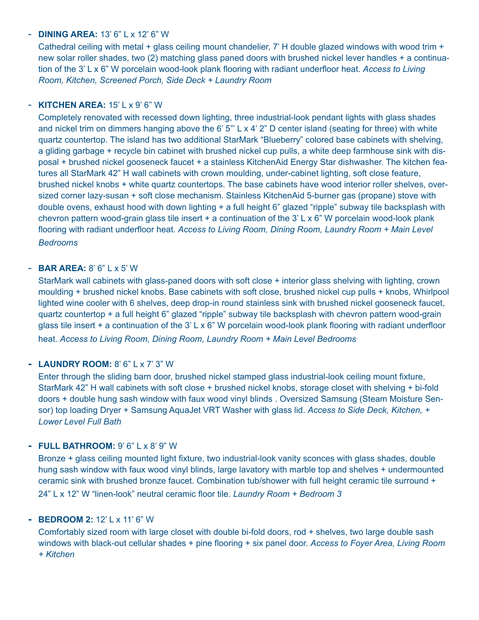#### - **DINING AREA:** 13' 6" L x 12' 6" W

Cathedral ceiling with metal + glass ceiling mount chandelier, 7' H double glazed windows with wood trim + new solar roller shades, two (2) matching glass paned doors with brushed nickel lever handles + a continuation of the 3' L x 6" W porcelain wood-look plank flooring with radiant underfloor heat. *Access to Living Room, Kitchen, Screened Porch, Side Deck + Laundry Room*

# - **KITCHEN AREA:** 15' L x 9' 6" W

Completely renovated with recessed down lighting, three industrial-look pendant lights with glass shades and nickel trim on dimmers hanging above the 6' 5"' L x 4' 2" D center island (seating for three) with white quartz countertop. The island has two additional StarMark "Blueberry" colored base cabinets with shelving, a gliding garbage + recycle bin cabinet with brushed nickel cup pulls, a white deep farmhouse sink with disposal + brushed nickel gooseneck faucet + a stainless KitchenAid Energy Star dishwasher. The kitchen features all StarMark 42" H wall cabinets with crown moulding, under-cabinet lighting, soft close feature, brushed nickel knobs + white quartz countertops. The base cabinets have wood interior roller shelves, oversized corner lazy-susan + soft close mechanism. Stainless KitchenAid 5-burner gas (propane) stove with double ovens, exhaust hood with down lighting + a full height 6" glazed "ripple" subway tile backsplash with chevron pattern wood-grain glass tile insert  $+$  a continuation of the 3' L x 6" W porcelain wood-look plank flooring with radiant underfloor heat. *Access to Living Room, Dining Room, Laundry Room + Main Level Bedrooms*

#### - **BAR AREA:** 8' 6" L x 5' W

StarMark wall cabinets with glass-paned doors with soft close + interior glass shelving with lighting, crown moulding + brushed nickel knobs. Base cabinets with soft close, brushed nickel cup pulls + knobs, Whirlpool lighted wine cooler with 6 shelves, deep drop-in round stainless sink with brushed nickel gooseneck faucet, quartz countertop + a full height 6" glazed "ripple" subway tile backsplash with chevron pattern wood-grain glass tile insert + a continuation of the 3' L x 6" W porcelain wood-look plank flooring with radiant underfloor heat. *Access to Living Room, Dining Room, Laundry Room + Main Level Bedrooms*

# **- LAUNDRY ROOM:** 8' 6" L x 7' 3" W

Enter through the sliding barn door, brushed nickel stamped glass industrial-look ceiling mount fixture, StarMark 42" H wall cabinets with soft close + brushed nickel knobs, storage closet with shelving + bi-fold doors + double hung sash window with faux wood vinyl blinds . Oversized Samsung (Steam Moisture Sensor) top loading Dryer + Samsung AquaJet VRT Washer with glass lid. *Access to Side Deck, Kitchen, + Lower Level Full Bath*

#### **- FULL BATHROOM:** 9' 6" L x 8' 9" W

Bronze + glass ceiling mounted light fixture, two industrial-look vanity sconces with glass shades, double hung sash window with faux wood vinyl blinds, large lavatory with marble top and shelves + undermounted ceramic sink with brushed bronze faucet. Combination tub/shower with full height ceramic tile surround + 24" L x 12" W "linen-look" neutral ceramic floor tile. *Laundry Room + Bedroom 3*

#### **- BEDROOM 2:** 12' L x 11' 6" W

Comfortably sized room with large closet with double bi-fold doors, rod + shelves, two large double sash windows with black-out cellular shades + pine flooring + six panel door. *Access to Foyer Area, Living Room + Kitchen*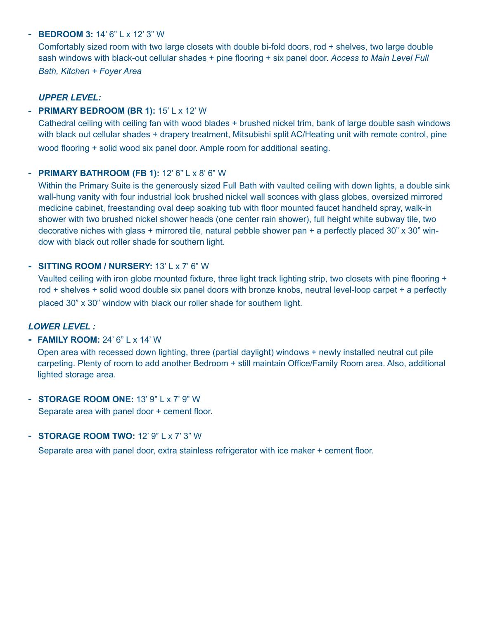#### - **BEDROOM 3:** 14' 6" L x 12' 3" W

Comfortably sized room with two large closets with double bi-fold doors, rod + shelves, two large double sash windows with black-out cellular shades + pine flooring + six panel door. *Access to Main Level Full Bath, Kitchen + Foyer Area*

#### *UPPER LEVEL:*

### - **PRIMARY BEDROOM (BR 1):** 15' L x 12' W

Cathedral ceiling with ceiling fan with wood blades + brushed nickel trim, bank of large double sash windows with black out cellular shades + drapery treatment, Mitsubishi split AC/Heating unit with remote control, pine wood flooring + solid wood six panel door. Ample room for additional seating.

### - **PRIMARY BATHROOM (FB 1):** 12' 6" L x 8' 6" W

Within the Primary Suite is the generously sized Full Bath with vaulted ceiling with down lights, a double sink wall-hung vanity with four industrial look brushed nickel wall sconces with glass globes, oversized mirrored medicine cabinet, freestanding oval deep soaking tub with floor mounted faucet handheld spray, walk-in shower with two brushed nickel shower heads (one center rain shower), full height white subway tile, two decorative niches with glass + mirrored tile, natural pebble shower pan + a perfectly placed 30" x 30" window with black out roller shade for southern light.

### **- SITTING ROOM / NURSERY:** 13' L x 7' 6" W

Vaulted ceiling with iron globe mounted fixture, three light track lighting strip, two closets with pine flooring + rod + shelves + solid wood double six panel doors with bronze knobs, neutral level-loop carpet + a perfectly placed 30" x 30" window with black our roller shade for southern light.

#### *LOWER LEVEL :*

# **- FAMILY ROOM:** 24' 6" L x 14' W

Open area with recessed down lighting, three (partial daylight) windows + newly installed neutral cut pile carpeting. Plenty of room to add another Bedroom + still maintain Office/Family Room area. Also, additional lighted storage area.

- **STORAGE ROOM ONE:** 13' 9" L x 7' 9" W Separate area with panel door + cement floor.

#### - **STORAGE ROOM TWO:** 12' 9" L x 7' 3" W

Separate area with panel door, extra stainless refrigerator with ice maker + cement floor.